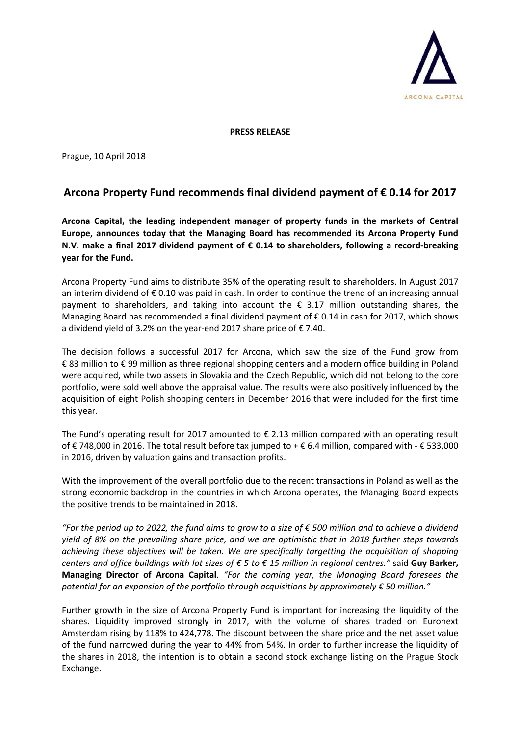

**PRESS RELEASE** 

Prague, 10 April 2018

## **Arcona Property Fund recommends final dividend payment of € 0.14 for 2017**

**Arcona Capital, the leading independent manager of property funds in the markets of Central Europe, announces today that the Managing Board has recommended its Arcona Property Fund N.V. make a final 2017 dividend payment of € 0.14 to shareholders, following a record-breaking year for the Fund.** 

Arcona Property Fund aims to distribute 35% of the operating result to shareholders. In August 2017 an interim dividend of € 0.10 was paid in cash. In order to continue the trend of an increasing annual payment to shareholders, and taking into account the  $\epsilon$  3.17 million outstanding shares, the Managing Board has recommended a final dividend payment of  $\epsilon$  0.14 in cash for 2017, which shows a dividend yield of 3.2% on the year-end 2017 share price of € 7.40.

The decision follows a successful 2017 for Arcona, which saw the size of the Fund grow from € 83 million to € 99 million as three regional shopping centers and a modern office building in Poland were acquired, while two assets in Slovakia and the Czech Republic, which did not belong to the core portfolio, were sold well above the appraisal value. The results were also positively influenced by the acquisition of eight Polish shopping centers in December 2016 that were included for the first time this year.

The Fund's operating result for 2017 amounted to € 2.13 million compared with an operating result of € 748,000 in 2016. The total result before tax jumped to + € 6.4 million, compared with - € 533,000 in 2016, driven by valuation gains and transaction profits.

With the improvement of the overall portfolio due to the recent transactions in Poland as well as the strong economic backdrop in the countries in which Arcona operates, the Managing Board expects the positive trends to be maintained in 2018.

*"For the period up to 2022, the fund aims to grow to a size of € 500 million and to achieve a dividend yield of 8% on the prevailing share price, and we are optimistic that in 2018 further steps towards achieving these objectives will be taken. We are specifically targetting the acquisition of shopping centers and office buildings with lot sizes of € 5 to € 15 million in regional centres."* said **Guy Barker, Managing Director of Arcona Capital**. *"For the coming year, the Managing Board foresees the potential for an expansion of the portfolio through acquisitions by approximately € 50 million."*

Further growth in the size of Arcona Property Fund is important for increasing the liquidity of the shares. Liquidity improved strongly in 2017, with the volume of shares traded on Euronext Amsterdam rising by 118% to 424,778. The discount between the share price and the net asset value of the fund narrowed during the year to 44% from 54%. In order to further increase the liquidity of the shares in 2018, the intention is to obtain a second stock exchange listing on the Prague Stock Exchange.